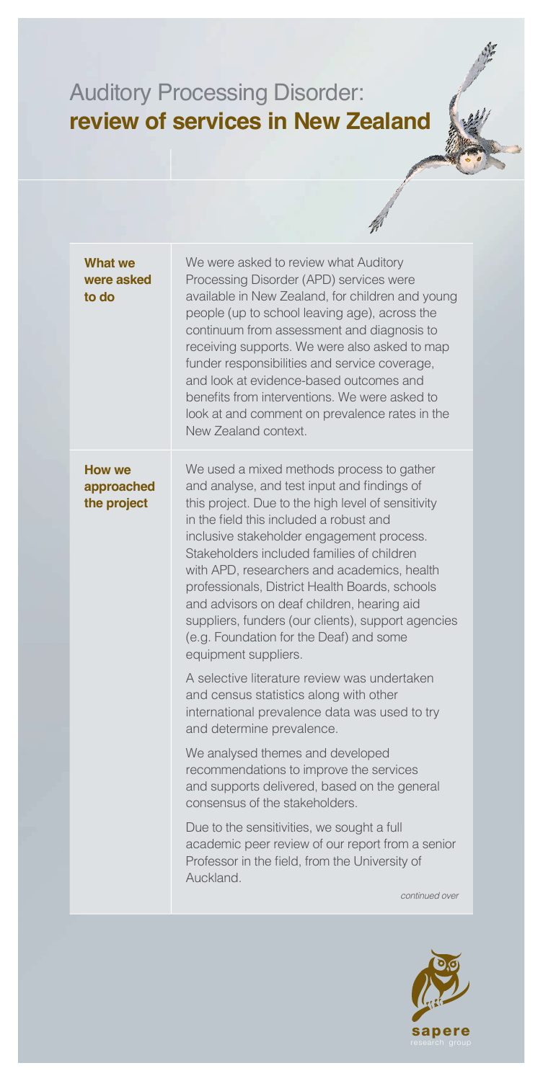## Auditory Processing Disorder: **review of services in New Zealand**

| <b>What we</b><br>were asked<br>to do | We were asked to review what Auditory<br>Processing Disorder (APD) services were<br>available in New Zealand, for children and young<br>people (up to school leaving age), across the<br>continuum from assessment and diagnosis to<br>receiving supports. We were also asked to map<br>funder responsibilities and service coverage,<br>and look at evidence-based outcomes and<br>benefits from interventions. We were asked to<br>look at and comment on prevalence rates in the<br>New Zealand context.                                                  |
|---------------------------------------|--------------------------------------------------------------------------------------------------------------------------------------------------------------------------------------------------------------------------------------------------------------------------------------------------------------------------------------------------------------------------------------------------------------------------------------------------------------------------------------------------------------------------------------------------------------|
| How we<br>approached<br>the project   | We used a mixed methods process to gather<br>and analyse, and test input and findings of<br>this project. Due to the high level of sensitivity<br>in the field this included a robust and<br>inclusive stakeholder engagement process.<br>Stakeholders included families of children<br>with APD, researchers and academics, health<br>professionals, District Health Boards, schools<br>and advisors on deaf children, hearing aid<br>suppliers, funders (our clients), support agencies<br>(e.g. Foundation for the Deaf) and some<br>equipment suppliers. |
|                                       | A selective literature review was undertaken<br>and census statistics along with other<br>international prevalence data was used to try<br>and determine prevalence.                                                                                                                                                                                                                                                                                                                                                                                         |
|                                       | We analysed themes and developed<br>recommendations to improve the services<br>and supports delivered, based on the general<br>consensus of the stakeholders.                                                                                                                                                                                                                                                                                                                                                                                                |
|                                       | Due to the sensitivities, we sought a full<br>academic peer review of our report from a senior<br>Professor in the field, from the University of<br>Auckland.                                                                                                                                                                                                                                                                                                                                                                                                |
|                                       | continued over                                                                                                                                                                                                                                                                                                                                                                                                                                                                                                                                               |
|                                       |                                                                                                                                                                                                                                                                                                                                                                                                                                                                                                                                                              |